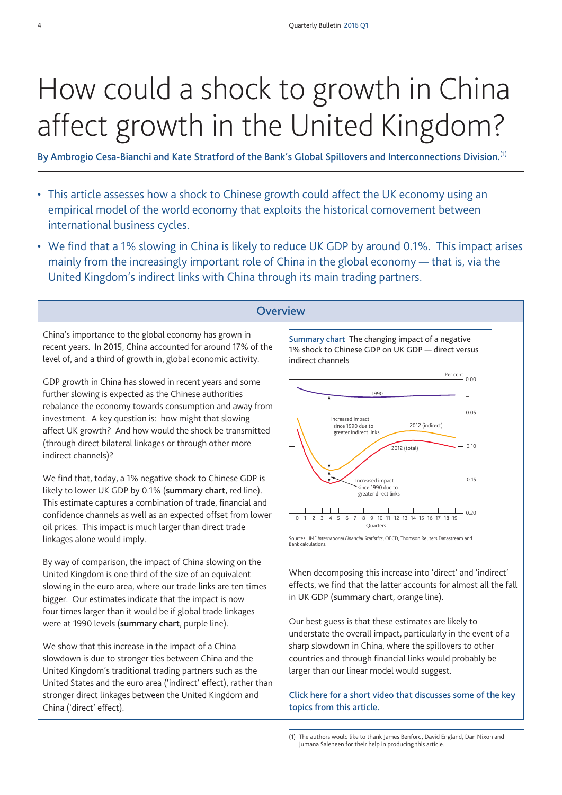# How could a shock to growth in China affect growth in the United Kingdom?

**By Ambrogio Cesa-Bianchi and Kate Stratford of the Bank's Global Spillovers and Interconnections Division.** (1)

- This article assesses how a shock to Chinese growth could affect the UK economy using an empirical model of the world economy that exploits the historical comovement between international business cycles.
- We find that a 1% slowing in China is likely to reduce UK GDP by around 0.1%. This impact arises mainly from the increasingly important role of China in the global economy — that is, via the United Kingdom's indirect links with China through its main trading partners.

# **Overview**

China's importance to the global economy has grown in recent years. In 2015, China accounted for around 17% of the level of, and a third of growth in, global economic activity.

GDP growth in China has slowed in recent years and some further slowing is expected as the Chinese authorities rebalance the economy towards consumption and away from investment. A key question is: how might that slowing affect UK growth? And how would the shock be transmitted (through direct bilateral linkages or through other more indirect channels)?

We find that, today, a 1% negative shock to Chinese GDP is likely to lower UK GDP by 0.1% (**summary chart**, red line). This estimate captures a combination of trade, financial and confidence channels as well as an expected offset from lower oil prices. This impact is much larger than direct trade linkages alone would imply.

By way of comparison, the impact of China slowing on the United Kingdom is one third of the size of an equivalent slowing in the euro area, where our trade links are ten times bigger. Our estimates indicate that the impact is now four times larger than it would be if global trade linkages were at 1990 levels (**summary chart**, purple line).

We show that this increase in the impact of a China slowdown is due to stronger ties between China and the United Kingdom's traditional trading partners such as the United States and the euro area ('indirect' effect), rather than stronger direct linkages between the United Kingdom and China ('direct' effect).

**Summary chart** The changing impact of a negative 1% shock to Chinese GDP on UK GDP — direct versus indirect channels



Sources: IMF *International Financial Statistics*, OECD, Thomson Reuters Datastream and Bank calculations.

When decomposing this increase into 'direct' and 'indirect' effects, we find that the latter accounts for almost all the fall in UK GDP (**summary chart**, orange line).

Our best guess is that these estimates are likely to understate the overall impact, particularly in the event of a sharp slowdown in China, where the spillovers to other countries and through financial links would probably be larger than our linear model would suggest.

**Click here for a short video that [discusses](https://youtu.be/JPmwRlD1rnE) some of the key topics from this [article.](https://youtu.be/JPmwRlD1rnE)**

<sup>(1)</sup> The authors would like to thank James Benford, David England, Dan Nixon and Jumana Saleheen for their help in producing this article.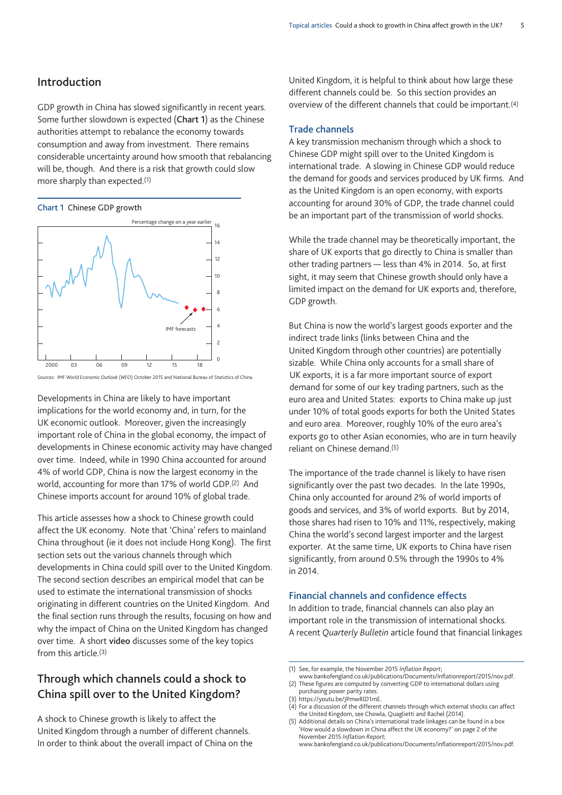# **Introduction**

GDP growth in China has slowed significantly in recent years. Some further slowdown is expected (**Chart 1**) as the Chinese authorities attempt to rebalance the economy towards consumption and away from investment. There remains considerable uncertainty around how smooth that rebalancing will be, though. And there is a risk that growth could slow more sharply than expected.(1)

#### **Chart 1** Chinese GDP growth



Sources: IMF *World Economic Outlook* (*WEO*) October 2015 and National Bureau of Statistics of China.

Developments in China are likely to have important implications for the world economy and, in turn, for the UK economic outlook. Moreover, given the increasingly important role of China in the global economy, the impact of developments in Chinese economic activity may have changed over time. Indeed, while in 1990 China accounted for around 4% of world GDP, China is now the largest economy in the world, accounting for more than 17% of world GDP.(2) And Chinese imports account for around 10% of global trade.

This article assesses how a shock to Chinese growth could affect the UK economy. Note that 'China' refers to mainland China throughout (ie it does not include Hong Kong). The first section sets out the various channels through which developments in China could spill over to the United Kingdom. The second section describes an empirical model that can be used to estimate the international transmission of shocks originating in different countries on the United Kingdom. And the final section runs through the results, focusing on how and why the impact of China on the United Kingdom has changed over time. A short **[video](https://youtu.be/JPmwRlD1rnE)** discusses some of the key topics from this article.(3)

# **Through which channels could a shock to China spill over to the United Kingdom?**

A shock to Chinese growth is likely to affect the United Kingdom through a number of different channels. In order to think about the overall impact of China on the United Kingdom, it is helpful to think about how large these different channels could be. So this section provides an overview of the different channels that could be important.(4)

## **Trade channels**

A key transmission mechanism through which a shock to Chinese GDP might spill over to the United Kingdom is international trade. A slowing in Chinese GDP would reduce the demand for goods and services produced by UK firms. And as the United Kingdom is an open economy, with exports accounting for around 30% of GDP, the trade channel could be an important part of the transmission of world shocks.

While the trade channel may be theoretically important, the share of UK exports that go directly to China is smaller than other trading partners — less than 4% in 2014. So, at first sight, it may seem that Chinese growth should only have a limited impact on the demand for UK exports and, therefore, GDP growth.

But China is now the world's largest goods exporter and the indirect trade links (links between China and the United Kingdom through other countries) are potentially sizable. While China only accounts for a small share of UK exports, it is a far more important source of export demand for some of our key trading partners, such as the euro area and United States: exports to China make up just under 10% of total goods exports for both the United States and euro area. Moreover, roughly 10% of the euro area's exports go to other Asian economies, who are in turn heavily reliant on Chinese demand.(5)

The importance of the trade channel is likely to have risen significantly over the past two decades. In the late 1990s, China only accounted for around 2% of world imports of goods and services, and 3% of world exports. But by 2014, those shares had risen to 10% and 11%, respectively, making China the world's second largest importer and the largest exporter. At the same time, UK exports to China have risen significantly, from around 0.5% through the 1990s to 4% in 2014.

## **Financial channels and confidence effects**

In addition to trade, financial channels can also play an important role in the transmission of international shocks. A recent *Quarterly Bulletin* article found that financial linkages

- www.bankofengland.co.uk/publications/Documents/inflationreport/2015/nov.pdf. (2) These figures are computed by converting GDP to international dollars using purchasing power parity rates.
- https://youtu.be/JPmwRlD1rnE.
- (4) For a discussion of the different channels through which external shocks can affect the United Kingdom, see Chowla, Quaglietti and Rachel (2014).
- (5) Additional details on China's international trade linkages can be found in a box 'How would a slowdown in China affect the UK economy?' on page 2 of the November 2015 *Inflation Report*;
	- www.bankofengland.co.uk/publications/Documents/inflationreport/2015/nov.pdf.

<sup>(1)</sup> See, for example, the November 2015 *Inflation Report*;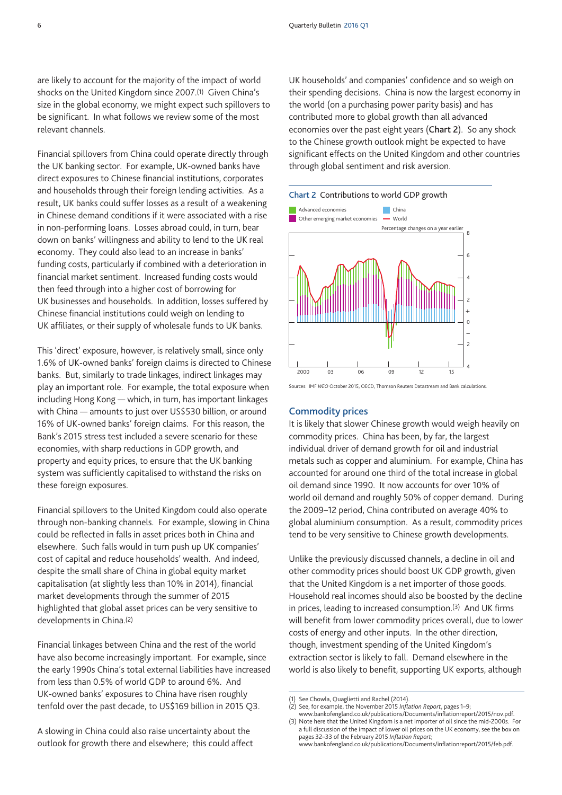are likely to account for the majority of the impact of world shocks on the United Kingdom since 2007.(1) Given China's size in the global economy, we might expect such spillovers to be significant. In what follows we review some of the most relevant channels.

Financial spillovers from China could operate directly through the UK banking sector. For example, UK-owned banks have direct exposures to Chinese financial institutions, corporates and households through their foreign lending activities. As a result, UK banks could suffer losses as a result of a weakening in Chinese demand conditions if it were associated with a rise in non-performing loans. Losses abroad could, in turn, bear down on banks' willingness and ability to lend to the UK real economy. They could also lead to an increase in banks' funding costs, particularly if combined with a deterioration in financial market sentiment. Increased funding costs would then feed through into a higher cost of borrowing for UK businesses and households. In addition, losses suffered by Chinese financial institutions could weigh on lending to UK affiliates, or their supply of wholesale funds to UK banks.

This 'direct' exposure, however, is relatively small, since only 1.6% of UK-owned banks' foreign claims is directed to Chinese banks. But, similarly to trade linkages, indirect linkages may play an important role. For example, the total exposure when including Hong Kong — which, in turn, has important linkages with China — amounts to just over US\$530 billion, or around 16% of UK-owned banks' foreign claims. For this reason, the Bank's 2015 stress test included a severe scenario for these economies, with sharp reductions in GDP growth, and property and equity prices, to ensure that the UK banking system was sufficiently capitalised to withstand the risks on these foreign exposures.

Financial spillovers to the United Kingdom could also operate through non-banking channels. For example, slowing in China could be reflected in falls in asset prices both in China and elsewhere. Such falls would in turn push up UK companies' cost of capital and reduce households' wealth. And indeed, despite the small share of China in global equity market capitalisation (at slightly less than 10% in 2014), financial market developments through the summer of 2015 highlighted that global asset prices can be very sensitive to developments in China.(2)

Financial linkages between China and the rest of the world have also become increasingly important. For example, since the early 1990s China's total external liabilities have increased from less than 0.5% of world GDP to around 6%. And UK-owned banks' exposures to China have risen roughly tenfold over the past decade, to US\$169 billion in 2015 Q3.

A slowing in China could also raise uncertainty about the outlook for growth there and elsewhere; this could affect UK households' and companies' confidence and so weigh on their spending decisions. China is now the largest economy in the world (on a purchasing power parity basis) and has contributed more to global growth than all advanced economies over the past eight years (**Chart 2**). So any shock to the Chinese growth outlook might be expected to have significant effects on the United Kingdom and other countries through global sentiment and risk aversion.



Sources: IMF *WEO* October 2015, OECD, Thomson Reuters Datastream and Bank calculations.

## **Commodity prices**

It is likely that slower Chinese growth would weigh heavily on commodity prices. China has been, by far, the largest individual driver of demand growth for oil and industrial metals such as copper and aluminium. For example, China has accounted for around one third of the total increase in global oil demand since 1990. It now accounts for over 10% of world oil demand and roughly 50% of copper demand. During the 2009–12 period, China contributed on average 40% to global aluminium consumption. As a result, commodity prices tend to be very sensitive to Chinese growth developments.

Unlike the previously discussed channels, a decline in oil and other commodity prices should boost UK GDP growth, given that the United Kingdom is a net importer of those goods. Household real incomes should also be boosted by the decline in prices, leading to increased consumption.(3) And UK firms will benefit from lower commodity prices overall, due to lower costs of energy and other inputs. In the other direction, though, investment spending of the United Kingdom's extraction sector is likely to fall. Demand elsewhere in the world is also likely to benefit, supporting UK exports, although

See Chowla, Quaglietti and Rachel (2014)

<sup>(2)</sup> See, for example, the November 2015 *Inflation Report*, pages 1–9; www.bankofengland.co.uk/publications/Documents/inflationreport/2015/nov.pdf.

<sup>(3)</sup> Note here that the United Kingdom is a net importer of oil since the mid-2000s. For a full discussion of the impact of lower oil prices on the UK economy, see the box on pages 32–33 of the February 2015 *Inflation Report*;

www.bankofengland.co.uk/publications/Documents/inflationreport/2015/feb.pdf.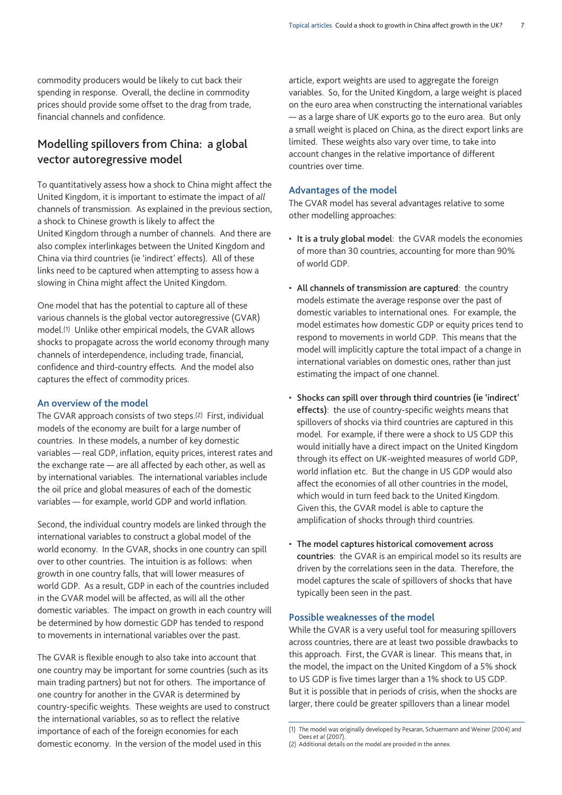commodity producers would be likely to cut back their spending in response. Overall, the decline in commodity prices should provide some offset to the drag from trade, financial channels and confidence.

# **Modelling spillovers from China: a global vector autoregressive model**

To quantitatively assess how a shock to China might affect the United Kingdom, it is important to estimate the impact of *all* channels of transmission. As explained in the previous section, a shock to Chinese growth is likely to affect the United Kingdom through a number of channels. And there are also complex interlinkages between the United Kingdom and China via third countries (ie 'indirect' effects). All of these links need to be captured when attempting to assess how a slowing in China might affect the United Kingdom.

One model that has the potential to capture all of these various channels is the global vector autoregressive (GVAR) model.(1) Unlike other empirical models, the GVAR allows shocks to propagate across the world economy through many channels of interdependence, including trade, financial, confidence and third-country effects. And the model also captures the effect of commodity prices.

## **An overview of the model**

The GVAR approach consists of two steps.(2) First, individual models of the economy are built for a large number of countries. In these models, a number of key domestic variables — real GDP, inflation, equity prices, interest rates and the exchange rate — are all affected by each other, as well as by international variables. The international variables include the oil price and global measures of each of the domestic variables — for example, world GDP and world inflation.

Second, the individual country models are linked through the international variables to construct a global model of the world economy. In the GVAR, shocks in one country can spill over to other countries. The intuition is as follows: when growth in one country falls, that will lower measures of world GDP. As a result, GDP in each of the countries included in the GVAR model will be affected, as will all the other domestic variables. The impact on growth in each country will be determined by how domestic GDP has tended to respond to movements in international variables over the past.

The GVAR is flexible enough to also take into account that one country may be important for some countries (such as its main trading partners) but not for others. The importance of one country for another in the GVAR is determined by country-specific weights. These weights are used to construct the international variables, so as to reflect the relative importance of each of the foreign economies for each domestic economy. In the version of the model used in this

article, export weights are used to aggregate the foreign variables. So, for the United Kingdom, a large weight is placed on the euro area when constructing the international variables — as a large share of UK exports go to the euro area. But only a small weight is placed on China, as the direct export links are limited. These weights also vary over time, to take into account changes in the relative importance of different countries over time.

## **Advantages of the model**

The GVAR model has several advantages relative to some other modelling approaches:

- **It is a truly global model**: the GVAR models the economies of more than 30 countries, accounting for more than 90% of world GDP.
- **All channels of transmission are captured**: the country models estimate the average response over the past of domestic variables to international ones. For example, the model estimates how domestic GDP or equity prices tend to respond to movements in world GDP. This means that the model will implicitly capture the total impact of a change in international variables on domestic ones, rather than just estimating the impact of one channel.
- **Shocks can spill over through third countries (ie 'indirect' effects)**: the use of country-specific weights means that spillovers of shocks via third countries are captured in this model. For example, if there were a shock to US GDP this would initially have a direct impact on the United Kingdom through its effect on UK-weighted measures of world GDP, world inflation etc. But the change in US GDP would also affect the economies of all other countries in the model, which would in turn feed back to the United Kingdom. Given this, the GVAR model is able to capture the amplification of shocks through third countries.
- **The model captures historical comovement across countries**: the GVAR is an empirical model so its results are driven by the correlations seen in the data. Therefore, the model captures the scale of spillovers of shocks that have typically been seen in the past.

## **Possible weaknesses of the model**

While the GVAR is a very useful tool for measuring spillovers across countries, there are at least two possible drawbacks to this approach. First, the GVAR is linear. This means that, in the model, the impact on the United Kingdom of a 5% shock to US GDP is five times larger than a 1% shock to US GDP. But it is possible that in periods of crisis, when the shocks are larger, there could be greater spillovers than a linear model

(2) Additional details on the model are provided in the annex.

<sup>(1)</sup> The model was originally developed by Pesaran, Schuermann and Weiner (2004) and Dees *et al* (2007).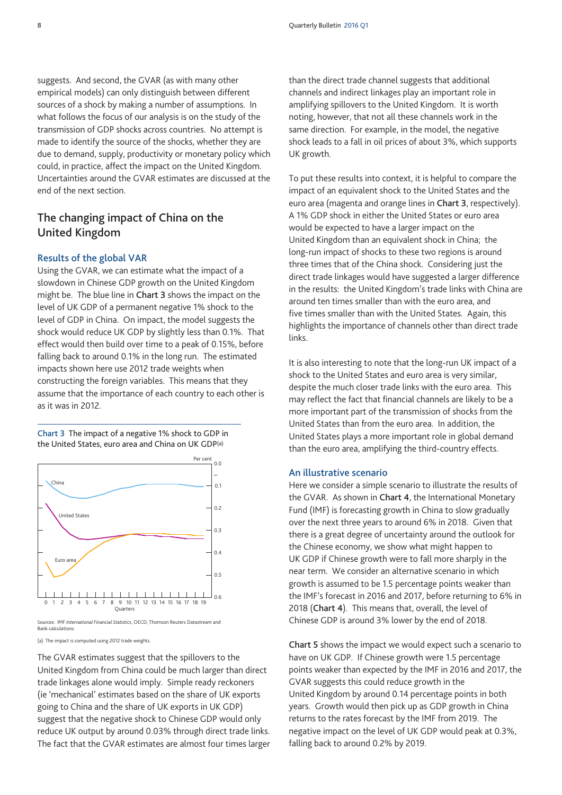suggests. And second, the GVAR (as with many other empirical models) can only distinguish between different sources of a shock by making a number of assumptions. In what follows the focus of our analysis is on the study of the transmission of GDP shocks across countries. No attempt is made to identify the source of the shocks, whether they are due to demand, supply, productivity or monetary policy which could, in practice, affect the impact on the United Kingdom. Uncertainties around the GVAR estimates are discussed at the end of the next section.

# **The changing impact of China on the United Kingdom**

## **Results of the global VAR**

Using the GVAR, we can estimate what the impact of a slowdown in Chinese GDP growth on the United Kingdom might be. The blue line in **Chart 3** shows the impact on the level of UK GDP of a permanent negative 1% shock to the level of GDP in China. On impact, the model suggests the shock would reduce UK GDP by slightly less than 0.1%. That effect would then build over time to a peak of 0.15%, before falling back to around 0.1% in the long run. The estimated impacts shown here use 2012 trade weights when constructing the foreign variables. This means that they assume that the importance of each country to each other is as it was in 2012.

**Chart 3** The impact of a negative 1% shock to GDP in the United States, euro area and China on UK GDP(a)



Sources: IMF *International Financial Statistics*, OECD, Thomson Reuters Datastream and Bank calculations.

(a) The impact is computed using 2012 trade weights.

The GVAR estimates suggest that the spillovers to the United Kingdom from China could be much larger than direct trade linkages alone would imply. Simple ready reckoners (ie 'mechanical' estimates based on the share of UK exports going to China and the share of UK exports in UK GDP) suggest that the negative shock to Chinese GDP would only reduce UK output by around 0.03% through direct trade links. The fact that the GVAR estimates are almost four times larger than the direct trade channel suggests that additional channels and indirect linkages play an important role in amplifying spillovers to the United Kingdom. It is worth noting, however, that not all these channels work in the same direction. For example, in the model, the negative shock leads to a fall in oil prices of about 3%, which supports UK growth.

To put these results into context, it is helpful to compare the impact of an equivalent shock to the United States and the euro area (magenta and orange lines in **Chart 3**, respectively). A 1% GDP shock in either the United States or euro area would be expected to have a larger impact on the United Kingdom than an equivalent shock in China; the long-run impact of shocks to these two regions is around three times that of the China shock. Considering just the direct trade linkages would have suggested a larger difference in the results: the United Kingdom's trade links with China are around ten times smaller than with the euro area, and five times smaller than with the United States. Again, this highlights the importance of channels other than direct trade links.

It is also interesting to note that the long-run UK impact of a shock to the United States and euro area is very similar, despite the much closer trade links with the euro area. This may reflect the fact that financial channels are likely to be a more important part of the transmission of shocks from the United States than from the euro area. In addition, the United States plays a more important role in global demand than the euro area, amplifying the third-country effects.

## **An illustrative scenario**

Here we consider a simple scenario to illustrate the results of the GVAR. As shown in **Chart 4**, the International Monetary Fund (IMF) is forecasting growth in China to slow gradually over the next three years to around 6% in 2018. Given that there is a great degree of uncertainty around the outlook for the Chinese economy, we show what might happen to UK GDP if Chinese growth were to fall more sharply in the near term. We consider an alternative scenario in which growth is assumed to be 1.5 percentage points weaker than the IMF's forecast in 2016 and 2017, before returning to 6% in 2018 (**Chart 4**). This means that, overall, the level of Chinese GDP is around 3% lower by the end of 2018.

**Chart 5** shows the impact we would expect such a scenario to have on UK GDP. If Chinese growth were 1.5 percentage points weaker than expected by the IMF in 2016 and 2017, the GVAR suggests this could reduce growth in the United Kingdom by around 0.14 percentage points in both years. Growth would then pick up as GDP growth in China returns to the rates forecast by the IMF from 2019. The negative impact on the level of UK GDP would peak at 0.3%, falling back to around 0.2% by 2019.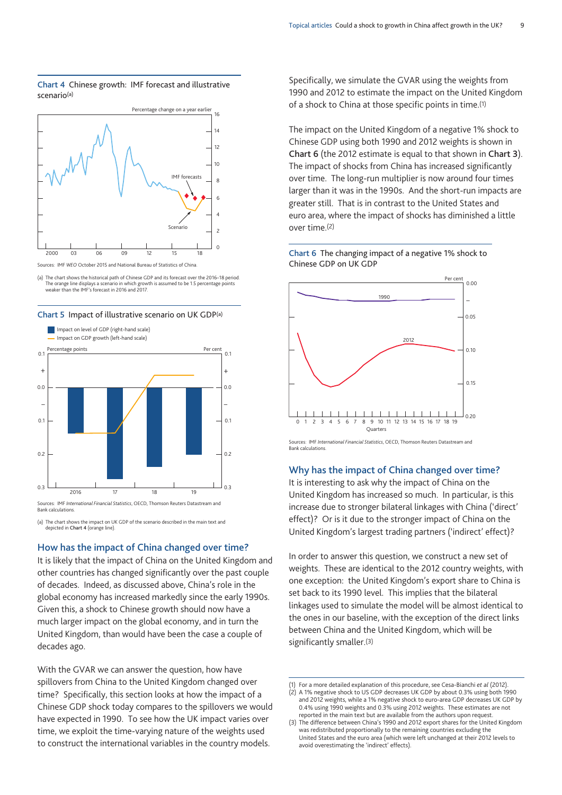#### **Chart 4** Chinese growth: IMF forecast and illustrative scenario(a)



<sup>(</sup>a) The chart shows the historical path of Chinese GDP and its forecast over the 2016–18 period. The orange line displays a scenario in which growth is assumed to be 1.5 percentage points weaker than the IMF's forecast in 2016 and 2017.





(a) The chart shows the impact on UK GDP of the scenario described in the main text and depicted in **Chart 4** (orange line).

#### **How has the impact of China changed over time?**

It is likely that the impact of China on the United Kingdom and other countries has changed significantly over the past couple of decades. Indeed, as discussed above, China's role in the global economy has increased markedly since the early 1990s. Given this, a shock to Chinese growth should now have a much larger impact on the global economy, and in turn the United Kingdom, than would have been the case a couple of decades ago.

With the GVAR we can answer the question, how have spillovers from China to the United Kingdom changed over time? Specifically, this section looks at how the impact of a Chinese GDP shock today compares to the spillovers we would have expected in 1990. To see how the UK impact varies over time, we exploit the time-varying nature of the weights used to construct the international variables in the country models.

Specifically, we simulate the GVAR using the weights from 1990 and 2012 to estimate the impact on the United Kingdom of a shock to China at those specific points in time.(1)

The impact on the United Kingdom of a negative 1% shock to Chinese GDP using both 1990 and 2012 weights is shown in **Chart 6** (the 2012 estimate is equal to that shown in **Chart 3**). The impact of shocks from China has increased significantly over time. The long-run multiplier is now around four times larger than it was in the 1990s. And the short-run impacts are greater still. That is in contrast to the United States and euro area, where the impact of shocks has diminished a little over time.(2)





Sources: IMF *International Financial Statistics*, OECD, Thomson Reuters Datastream and Bank calculations.

## **Why has the impact of China changed over time?**

It is interesting to ask why the impact of China on the United Kingdom has increased so much. In particular, is this increase due to stronger bilateral linkages with China ('direct' effect)? Or is it due to the stronger impact of China on the United Kingdom's largest trading partners ('indirect' effect)?

In order to answer this question, we construct a new set of weights. These are identical to the 2012 country weights, with one exception: the United Kingdom's export share to China is set back to its 1990 level. This implies that the bilateral linkages used to simulate the model will be almost identical to the ones in our baseline, with the exception of the direct links between China and the United Kingdom, which will be significantly smaller.(3)

<sup>(1)</sup> For a more detailed explanation of this procedure, see Cesa-Bianchi *et al* (2012).

<sup>(2)</sup> A 1% negative shock to US GDP decreases UK GDP by about 0.3% using both 1990 and 2012 weights, while a 1% negative shock to euro-area GDP decreases UK GDP by 0.4% using 1990 weights and 0.3% using 2012 weights. These estimates are not reported in the main text but are available from the authors upon request.

<sup>(3)</sup> The difference between China's 1990 and 2012 export shares for the United Kingdom was redistributed proportionally to the remaining countries excluding the United States and the euro area (which were left unchanged at their 2012 levels to avoid overestimating the 'indirect' effects).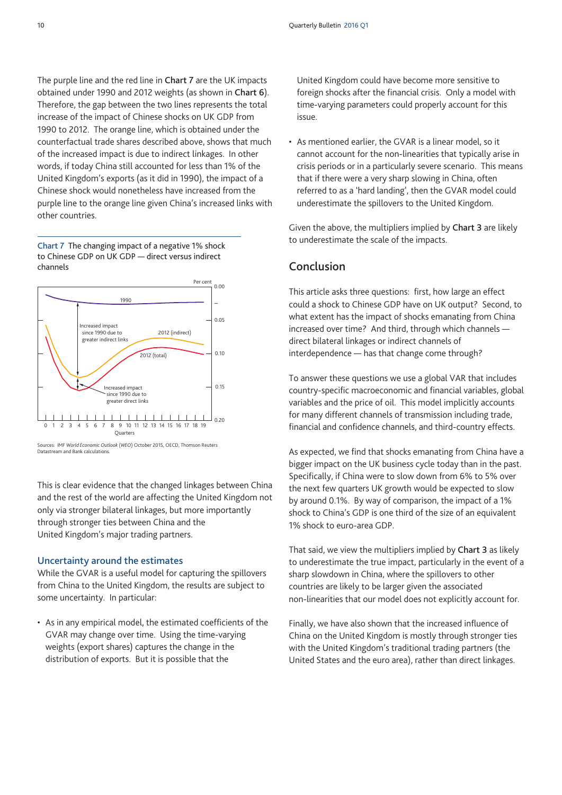The purple line and the red line in **Chart 7** are the UK impacts obtained under 1990 and 2012 weights (as shown in **Chart 6**). Therefore, the gap between the two lines represents the total increase of the impact of Chinese shocks on UK GDP from 1990 to 2012. The orange line, which is obtained under the counterfactual trade shares described above, shows that much of the increased impact is due to indirect linkages. In other words, if today China still accounted for less than 1% of the United Kingdom's exports (as it did in 1990), the impact of a Chinese shock would nonetheless have increased from the purple line to the orange line given China's increased links with other countries.

**Chart 7** The changing impact of a negative 1% shock to Chinese GDP on UK GDP — direct versus indirect channels



Sources: IMF *World Economic Outlook* (*WEO*) October 2015, OECD, Thomson Reuters Datastream and Bank calculations.

This is clear evidence that the changed linkages between China and the rest of the world are affecting the United Kingdom not only via stronger bilateral linkages, but more importantly through stronger ties between China and the United Kingdom's major trading partners.

#### **Uncertainty around the estimates**

While the GVAR is a useful model for capturing the spillovers from China to the United Kingdom, the results are subject to some uncertainty. In particular:

• As in any empirical model, the estimated coefficients of the GVAR may change over time. Using the time-varying weights (export shares) captures the change in the distribution of exports. But it is possible that the

United Kingdom could have become more sensitive to foreign shocks after the financial crisis. Only a model with time-varying parameters could properly account for this issue.

• As mentioned earlier, the GVAR is a linear model, so it cannot account for the non-linearities that typically arise in crisis periods or in a particularly severe scenario. This means that if there were a very sharp slowing in China, often referred to as a 'hard landing', then the GVAR model could underestimate the spillovers to the United Kingdom.

Given the above, the multipliers implied by **Chart 3** are likely to underestimate the scale of the impacts.

# **Conclusion**

This article asks three questions: first, how large an effect could a shock to Chinese GDP have on UK output? Second, to what extent has the impact of shocks emanating from China increased over time? And third, through which channels direct bilateral linkages or indirect channels of interdependence — has that change come through?

To answer these questions we use a global VAR that includes country-specific macroeconomic and financial variables, global variables and the price of oil. This model implicitly accounts for many different channels of transmission including trade, financial and confidence channels, and third-country effects.

As expected, we find that shocks emanating from China have a bigger impact on the UK business cycle today than in the past. Specifically, if China were to slow down from 6% to 5% over the next few quarters UK growth would be expected to slow by around 0.1%. By way of comparison, the impact of a 1% shock to China's GDP is one third of the size of an equivalent 1% shock to euro-area GDP.

That said, we view the multipliers implied by **Chart 3** as likely to underestimate the true impact, particularly in the event of a sharp slowdown in China, where the spillovers to other countries are likely to be larger given the associated non-linearities that our model does not explicitly account for.

Finally, we have also shown that the increased influence of China on the United Kingdom is mostly through stronger ties with the United Kingdom's traditional trading partners (the United States and the euro area), rather than direct linkages.